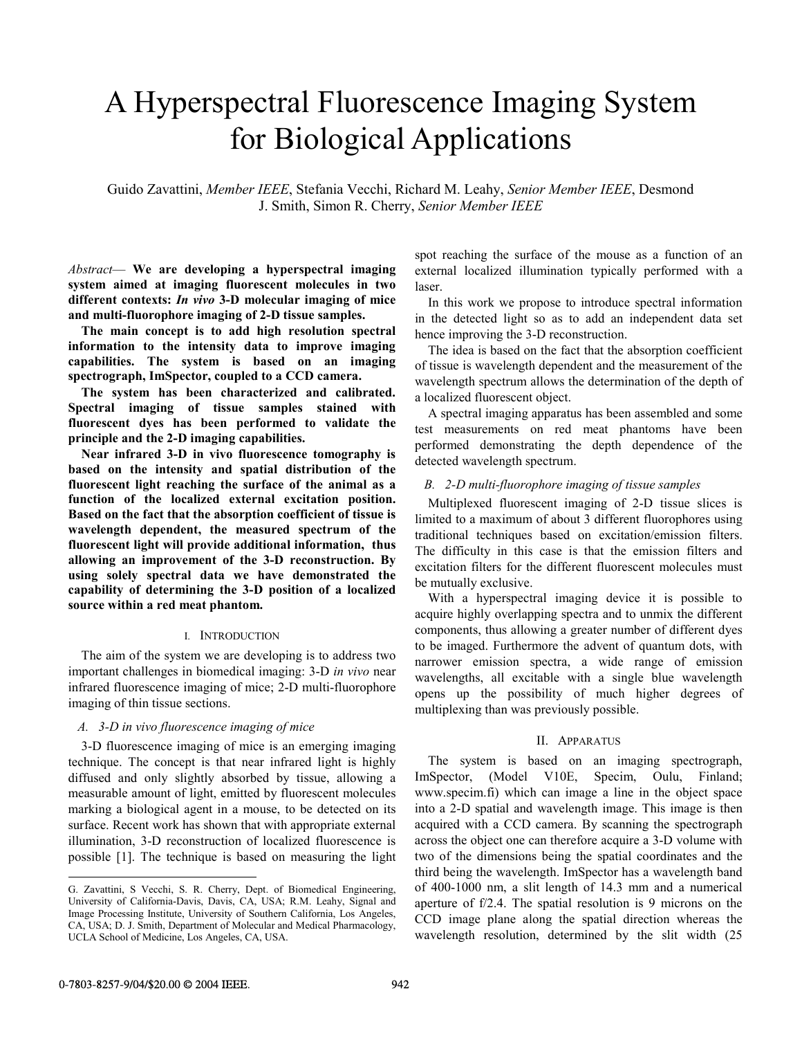# A Hyperspectral Fluorescence Imaging System for Biological Applications

Guido Zavattini, *Member IEEE*, Stefania Vecchi, Richard M. Leahy, *Senior Member IEEE*, Desmond J. Smith, Simon R. Cherry, *Senior Member IEEE*

*Abstract*— **We are developing a hyperspectral imaging system aimed at imaging fluorescent molecules in two different contexts:** *In vivo* **3-D molecular imaging of mice and multi-fluorophore imaging of 2-D tissue samples.** 

**The main concept is to add high resolution spectral information to the intensity data to improve imaging capabilities. The system is based on an imaging spectrograph, ImSpector, coupled to a CCD camera.** 

**The system has been characterized and calibrated. Spectral imaging of tissue samples stained with fluorescent dyes has been performed to validate the principle and the 2-D imaging capabilities.** 

**Near infrared 3-D in vivo fluorescence tomography is based on the intensity and spatial distribution of the fluorescent light reaching the surface of the animal as a function of the localized external excitation position. Based on the fact that the absorption coefficient of tissue is wavelength dependent, the measured spectrum of the fluorescent light will provide additional information, thus allowing an improvement of the 3-D reconstruction. By using solely spectral data we have demonstrated the capability of determining the 3-D position of a localized source within a red meat phantom.**

# I. INTRODUCTION

The aim of the system we are developing is to address two important challenges in biomedical imaging: 3-D *in vivo* near infrared fluorescence imaging of mice; 2-D multi-fluorophore imaging of thin tissue sections.

## *A. 3-D in vivo fluorescence imaging of mice*

3-D fluorescence imaging of mice is an emerging imaging technique. The concept is that near infrared light is highly diffused and only slightly absorbed by tissue, allowing a measurable amount of light, emitted by fluorescent molecules marking a biological agent in a mouse, to be detected on its surface. Recent work has shown that with appropriate external illumination, 3-D reconstruction of localized fluorescence is possible [1]. The technique is based on measuring the light spot reaching the surface of the mouse as a function of an external localized illumination typically performed with a laser.

In this work we propose to introduce spectral information in the detected light so as to add an independent data set hence improving the 3-D reconstruction.

The idea is based on the fact that the absorption coefficient of tissue is wavelength dependent and the measurement of the wavelength spectrum allows the determination of the depth of a localized fluorescent object.

A spectral imaging apparatus has been assembled and some test measurements on red meat phantoms have been performed demonstrating the depth dependence of the detected wavelength spectrum.

# *B. 2-D multi-fluorophore imaging of tissue samples*

Multiplexed fluorescent imaging of 2-D tissue slices is limited to a maximum of about 3 different fluorophores using traditional techniques based on excitation/emission filters. The difficulty in this case is that the emission filters and excitation filters for the different fluorescent molecules must be mutually exclusive.

With a hyperspectral imaging device it is possible to acquire highly overlapping spectra and to unmix the different components, thus allowing a greater number of different dyes to be imaged. Furthermore the advent of quantum dots, with narrower emission spectra, a wide range of emission wavelengths, all excitable with a single blue wavelength opens up the possibility of much higher degrees of multiplexing than was previously possible.

#### II. APPARATUS

The system is based on an imaging spectrograph, ImSpector, (Model V10E, Specim, Oulu, Finland; www.specim.fi) which can image a line in the object space into a 2-D spatial and wavelength image. This image is then acquired with a CCD camera. By scanning the spectrograph across the object one can therefore acquire a 3-D volume with two of the dimensions being the spatial coordinates and the third being the wavelength. ImSpector has a wavelength band of 400-1000 nm, a slit length of 14.3 mm and a numerical aperture of f/2.4. The spatial resolution is 9 microns on the CCD image plane along the spatial direction whereas the wavelength resolution, determined by the slit width (25

 $\overline{a}$ 

G. Zavattini, S Vecchi, S. R. Cherry, Dept. of Biomedical Engineering, University of California-Davis, Davis, CA, USA; R.M. Leahy, Signal and Image Processing Institute, University of Southern California, Los Angeles, CA, USA; D. J. Smith, Department of Molecular and Medical Pharmacology, UCLA School of Medicine, Los Angeles, CA, USA.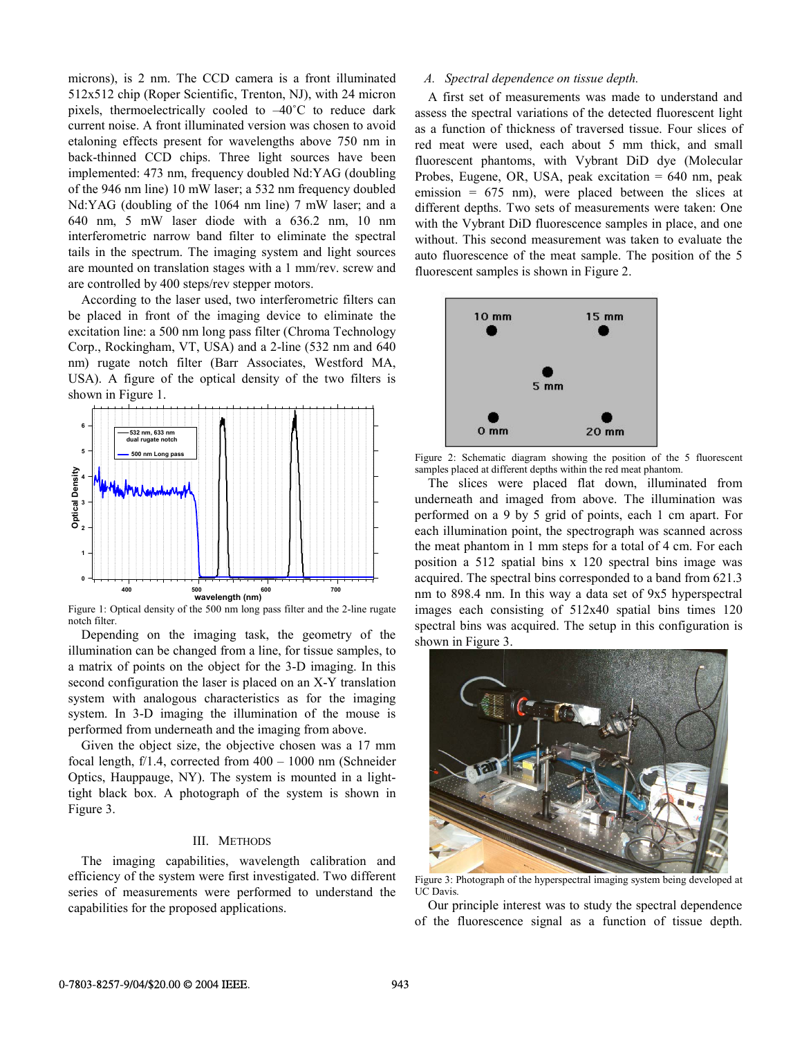microns), is 2 nm. The CCD camera is a front illuminated 512x512 chip (Roper Scientific, Trenton, NJ), with 24 micron pixels, thermoelectrically cooled to –40˚C to reduce dark current noise. A front illuminated version was chosen to avoid etaloning effects present for wavelengths above 750 nm in back-thinned CCD chips. Three light sources have been implemented: 473 nm, frequency doubled Nd:YAG (doubling of the 946 nm line) 10 mW laser; a 532 nm frequency doubled Nd:YAG (doubling of the 1064 nm line) 7 mW laser; and a 640 nm, 5 mW laser diode with a 636.2 nm, 10 nm interferometric narrow band filter to eliminate the spectral tails in the spectrum. The imaging system and light sources are mounted on translation stages with a 1 mm/rev. screw and are controlled by 400 steps/rev stepper motors.

According to the laser used, two interferometric filters can be placed in front of the imaging device to eliminate the excitation line: a 500 nm long pass filter (Chroma Technology Corp., Rockingham, VT, USA) and a 2-line (532 nm and 640 nm) rugate notch filter (Barr Associates, Westford MA, USA). A figure of the optical density of the two filters is shown in Figure 1.



Figure 1: Optical density of the 500 nm long pass filter and the 2-line rugate notch filter.

Depending on the imaging task, the geometry of the illumination can be changed from a line, for tissue samples, to a matrix of points on the object for the 3-D imaging. In this second configuration the laser is placed on an X-Y translation system with analogous characteristics as for the imaging system. In 3-D imaging the illumination of the mouse is performed from underneath and the imaging from above.

Given the object size, the objective chosen was a 17 mm focal length, f/1.4, corrected from 400 – 1000 nm (Schneider Optics, Hauppauge, NY). The system is mounted in a lighttight black box. A photograph of the system is shown in Figure 3.

# III. METHODS

The imaging capabilities, wavelength calibration and efficiency of the system were first investigated. Two different series of measurements were performed to understand the capabilities for the proposed applications.

## *A. Spectral dependence on tissue depth.*

A first set of measurements was made to understand and assess the spectral variations of the detected fluorescent light as a function of thickness of traversed tissue. Four slices of red meat were used, each about 5 mm thick, and small fluorescent phantoms, with Vybrant DiD dye (Molecular Probes, Eugene, OR, USA, peak excitation = 640 nm, peak emission  $= 675$  nm), were placed between the slices at different depths. Two sets of measurements were taken: One with the Vybrant DiD fluorescence samples in place, and one without. This second measurement was taken to evaluate the auto fluorescence of the meat sample. The position of the 5 fluorescent samples is shown in Figure 2.



Figure 2: Schematic diagram showing the position of the 5 fluorescent samples placed at different depths within the red meat phantom.

The slices were placed flat down, illuminated from underneath and imaged from above. The illumination was performed on a 9 by 5 grid of points, each 1 cm apart. For each illumination point, the spectrograph was scanned across the meat phantom in 1 mm steps for a total of 4 cm. For each position a 512 spatial bins x 120 spectral bins image was acquired. The spectral bins corresponded to a band from 621.3 nm to 898.4 nm. In this way a data set of 9x5 hyperspectral images each consisting of 512x40 spatial bins times 120 spectral bins was acquired. The setup in this configuration is shown in Figure 3.



Figure 3: Photograph of the hyperspectral imaging system being developed at UC Davis.

Our principle interest was to study the spectral dependence of the fluorescence signal as a function of tissue depth.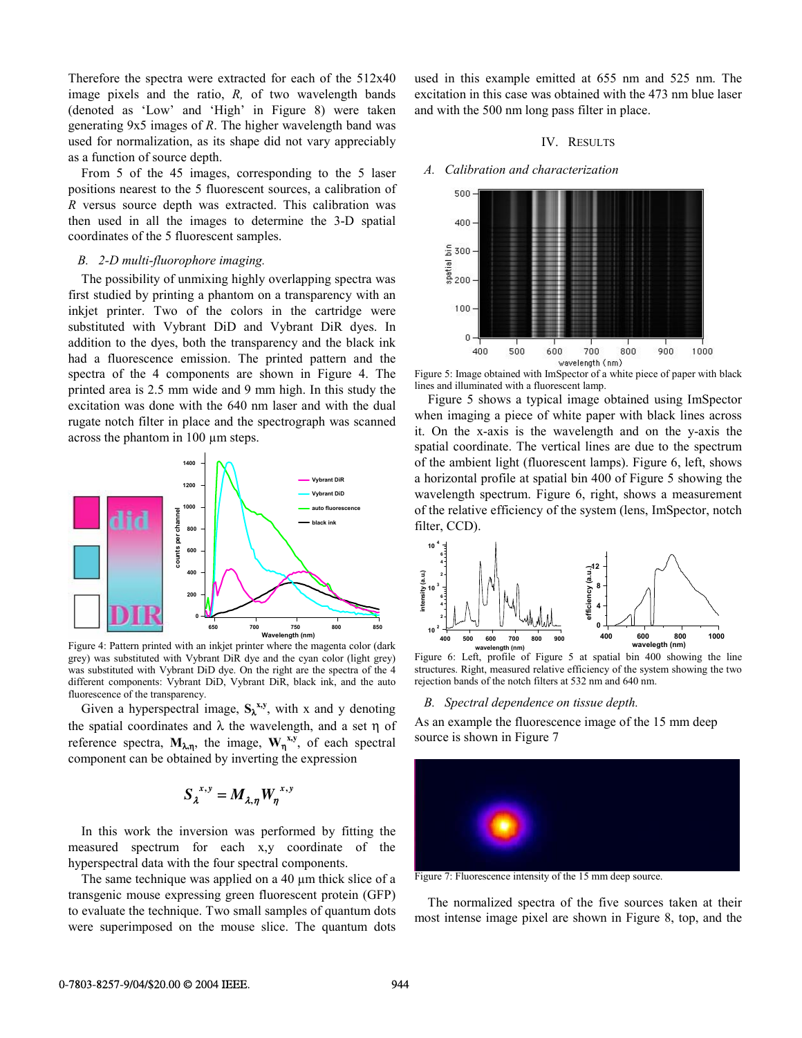Therefore the spectra were extracted for each of the 512x40 image pixels and the ratio, *R,* of two wavelength bands (denoted as 'Low' and 'High' in Figure 8) were taken generating 9x5 images of *R*. The higher wavelength band was used for normalization, as its shape did not vary appreciably as a function of source depth.

From 5 of the 45 images, corresponding to the 5 laser positions nearest to the 5 fluorescent sources, a calibration of *R* versus source depth was extracted. This calibration was then used in all the images to determine the 3-D spatial coordinates of the 5 fluorescent samples.

# *B. 2-D multi-fluorophore imaging.*

The possibility of unmixing highly overlapping spectra was first studied by printing a phantom on a transparency with an inkjet printer. Two of the colors in the cartridge were substituted with Vybrant DiD and Vybrant DiR dyes. In addition to the dyes, both the transparency and the black ink had a fluorescence emission. The printed pattern and the spectra of the 4 components are shown in Figure 4. The printed area is 2.5 mm wide and 9 mm high. In this study the excitation was done with the 640 nm laser and with the dual rugate notch filter in place and the spectrograph was scanned across the phantom in 100 µm steps.



Figure 4: Pattern printed with an inkjet printer where the magenta color (dark grey) was substituted with Vybrant DiR dye and the cyan color (light grey) was substituted with Vybrant DiD dye. On the right are the spectra of the 4 different components: Vybrant DiD, Vybrant DiR, black ink, and the auto fluorescence of the transparency.

Given a hyperspectral image,  $S_{\lambda}^{x,y}$ , with x and y denoting the spatial coordinates and  $\lambda$  the wavelength, and a set  $\eta$  of reference spectra,  $M_{\lambda,\eta}$ , the image,  $W_{\eta}^{x,y}$ , of each spectral component can be obtained by inverting the expression

$$
S_{\lambda}^{x,y} = M_{\lambda,\eta} W_{\eta}^{x,y}
$$

In this work the inversion was performed by fitting the measured spectrum for each x,y coordinate of the hyperspectral data with the four spectral components.

The same technique was applied on a 40  $\mu$ m thick slice of a transgenic mouse expressing green fluorescent protein (GFP) to evaluate the technique. Two small samples of quantum dots were superimposed on the mouse slice. The quantum dots used in this example emitted at 655 nm and 525 nm. The excitation in this case was obtained with the 473 nm blue laser and with the 500 nm long pass filter in place.

## IV. RESULTS

## *A. Calibration and characterization*



Figure 5: Image obtained with ImSpector of a white piece of paper with black lines and illuminated with a fluorescent lamp.

Figure 5 shows a typical image obtained using ImSpector when imaging a piece of white paper with black lines across it. On the x-axis is the wavelength and on the y-axis the spatial coordinate. The vertical lines are due to the spectrum of the ambient light (fluorescent lamps). Figure 6, left, shows a horizontal profile at spatial bin 400 of Figure 5 showing the wavelength spectrum. Figure 6, right, shows a measurement of the relative efficiency of the system (lens, ImSpector, notch filter, CCD).



Figure 6: Left, profile of Figure 5 at spatial bin 400 showing the line structures. Right, measured relative efficiency of the system showing the two rejection bands of the notch filters at 532 nm and 640 nm.

## *B. Spectral dependence on tissue depth.*

As an example the fluorescence image of the 15 mm deep source is shown in Figure 7



Figure 7: Fluorescence intensity of the 15 mm deep source.

The normalized spectra of the five sources taken at their most intense image pixel are shown in Figure 8, top, and the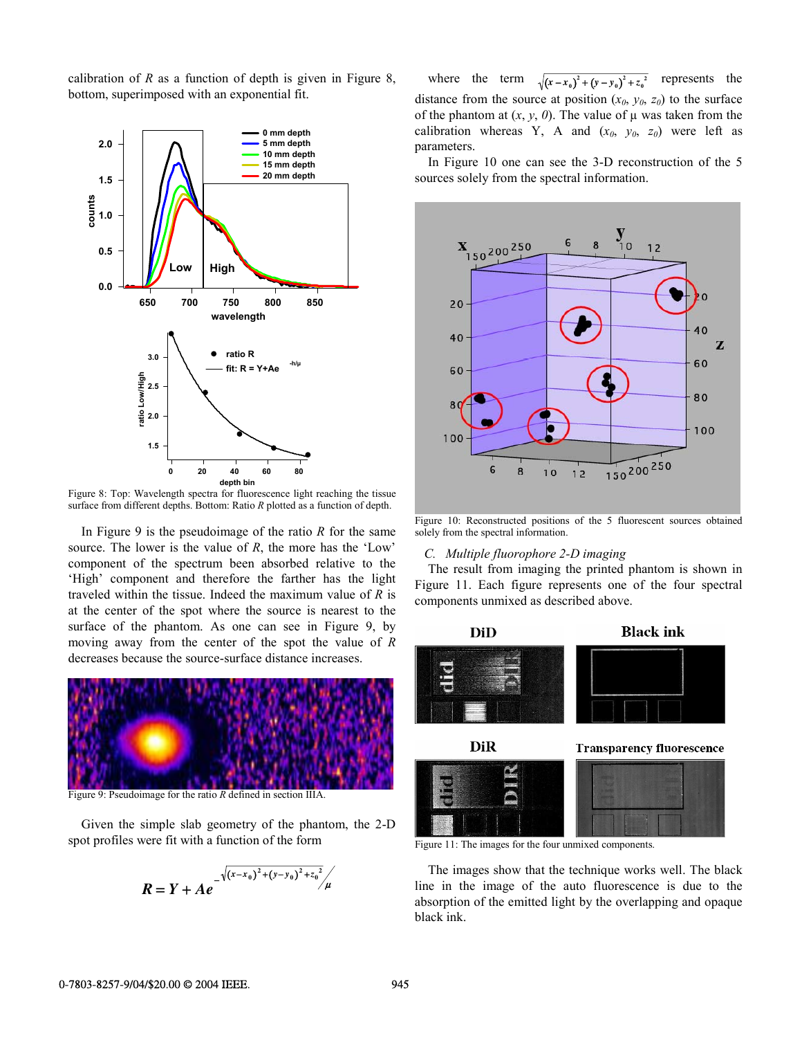calibration of *R* as a function of depth is given in Figure 8, bottom, superimposed with an exponential fit.



Figure 8: Top: Wavelength spectra for fluorescence light reaching the tissue surface from different depths. Bottom: Ratio *R* plotted as a function of depth.

In Figure 9 is the pseudoimage of the ratio *R* for the same source. The lower is the value of *R*, the more has the 'Low' component of the spectrum been absorbed relative to the 'High' component and therefore the farther has the light traveled within the tissue. Indeed the maximum value of *R* is at the center of the spot where the source is nearest to the surface of the phantom. As one can see in Figure 9, by moving away from the center of the spot the value of *R* decreases because the source-surface distance increases.



Figure 9: Pseudoimage for the ratio *R* defined in section IIIA.

Given the simple slab geometry of the phantom, the 2-D spot profiles were fit with a function of the form

$$
R = Y + Ae^{-\sqrt{(x-x_0)^2 + (y-y_0)^2 + z_0^2}/\mu}
$$

 $x + y = 0$  *x* (*x* + *x* + *x* + *x* + *x* + *x* + *x* + *x* + *x* + *x* + *x* + *x* + *x* + *x* + *x* + *x* + *x* + *x* + *x* + *x* + *x* + *x* + *x* + *x* + *x* + *x* + *x* + *x* + *x* + *x* + *x* + *x* + *x* + *x* + *x*  $\frac{1}{2} + (y - y_0)^2 + z_0^2$  represents the distance from the source at position  $(x_0, y_0, z_0)$  to the surface of the phantom at  $(x, y, 0)$ . The value of  $\mu$  was taken from the calibration whereas Y, A and  $(x_0, y_0, z_0)$  were left as parameters.

In Figure 10 one can see the 3-D reconstruction of the 5 sources solely from the spectral information.



Figure 10: Reconstructed positions of the 5 fluorescent sources obtained solely from the spectral information.

## *C. Multiple fluorophore 2-D imaging*

The result from imaging the printed phantom is shown in Figure 11. Each figure represents one of the four spectral components unmixed as described above.



Figure 11: The images for the four unmixed components.

The images show that the technique works well. The black line in the image of the auto fluorescence is due to the absorption of the emitted light by the overlapping and opaque black ink.